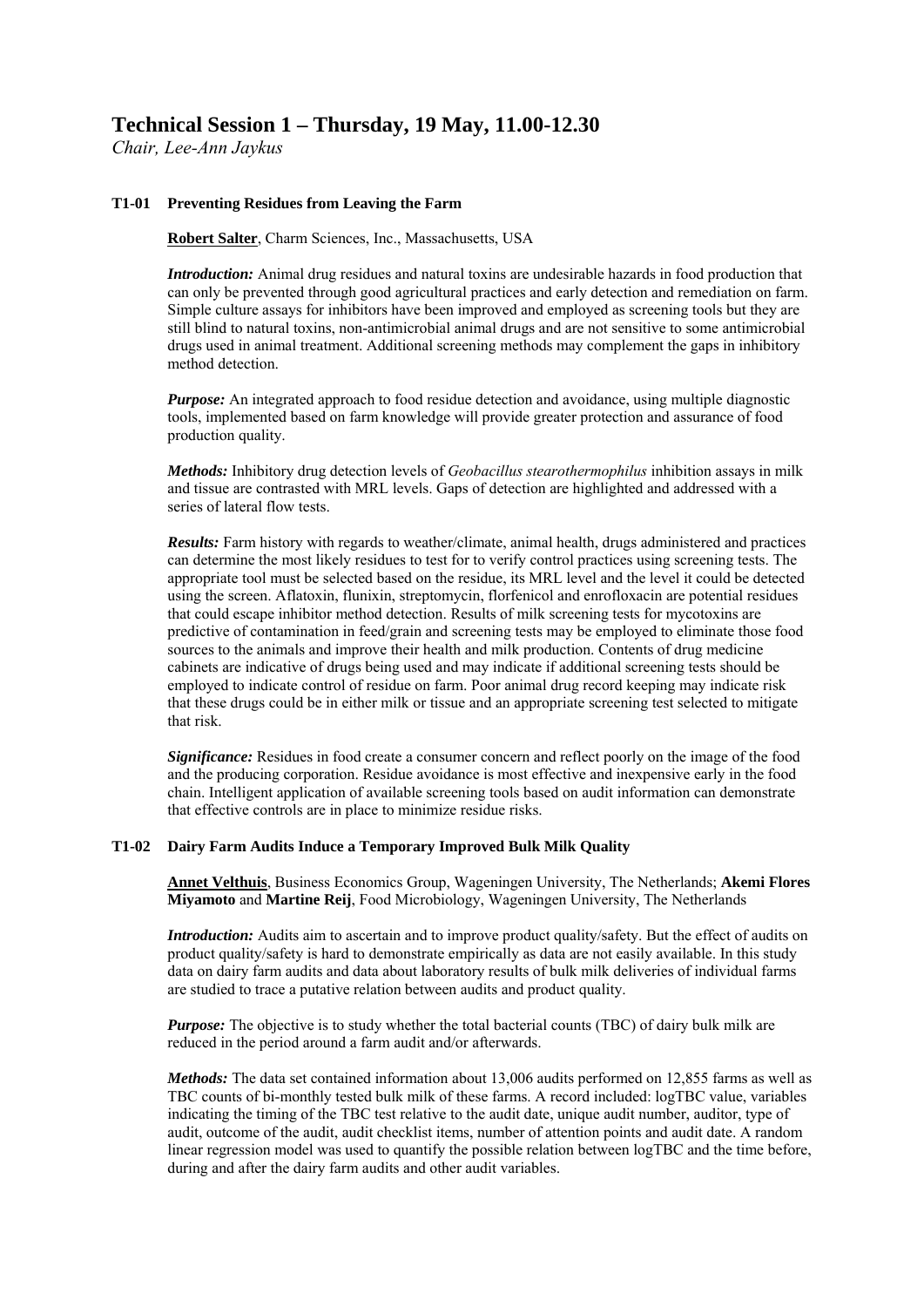# **Technical Session 1 – Thursday, 19 May, 11.00-12.30**

*Chair, Lee-Ann Jaykus* 

## **T1-01 [Preventing Residues from Leaving the Farm](http://iafpeurope2011.abstractcentral.com/abstract?TAG_ACTION=CDE_EDIT_ABSTRACT&CURRENT_PAGE=AUTHOR_INDEX&NEXT_PAGE=CREATE_ABSTRACT&ABSTRACT_ID=1091643&WORKFLOW_ID=2&ADMIN_OVERRIDE=Y)**

**Robert Salter**, Charm Sciences, Inc., Massachusetts, USA

*Introduction:* Animal drug residues and natural toxins are undesirable hazards in food production that can only be prevented through good agricultural practices and early detection and remediation on farm. Simple culture assays for inhibitors have been improved and employed as screening tools but they are still blind to natural toxins, non-antimicrobial animal drugs and are not sensitive to some antimicrobial drugs used in animal treatment. Additional screening methods may complement the gaps in inhibitory method detection.

*Purpose:* An integrated approach to food residue detection and avoidance, using multiple diagnostic tools, implemented based on farm knowledge will provide greater protection and assurance of food production quality.

*Methods:* Inhibitory drug detection levels of *Geobacillus stearothermophilus* inhibition assays in milk and tissue are contrasted with MRL levels. Gaps of detection are highlighted and addressed with a series of lateral flow tests.

*Results:* Farm history with regards to weather/climate, animal health, drugs administered and practices can determine the most likely residues to test for to verify control practices using screening tests. The appropriate tool must be selected based on the residue, its MRL level and the level it could be detected using the screen. Aflatoxin, flunixin, streptomycin, florfenicol and enrofloxacin are potential residues that could escape inhibitor method detection. Results of milk screening tests for mycotoxins are predictive of contamination in feed/grain and screening tests may be employed to eliminate those food sources to the animals and improve their health and milk production. Contents of drug medicine cabinets are indicative of drugs being used and may indicate if additional screening tests should be employed to indicate control of residue on farm. Poor animal drug record keeping may indicate risk that these drugs could be in either milk or tissue and an appropriate screening test selected to mitigate that risk.

*Significance:* Residues in food create a consumer concern and reflect poorly on the image of the food and the producing corporation. Residue avoidance is most effective and inexpensive early in the food chain. Intelligent application of available screening tools based on audit information can demonstrate that effective controls are in place to minimize residue risks.

### **T1-02 [Dairy Farm Audits Induce a Temporary Improved Bulk Milk Quality](http://iafpeurope2011.abstractcentral.com/abstract?TAG_ACTION=CDE_EDIT_ABSTRACT&CURRENT_PAGE=AUTHOR_INDEX&NEXT_PAGE=CREATE_ABSTRACT&ABSTRACT_ID=1089501&WORKFLOW_ID=2&ADMIN_OVERRIDE=Y)**

**Annet Velthuis**, Business Economics Group, Wageningen University, The Netherlands; **Akemi Flores Miyamoto** and **Martine Reij**, Food Microbiology, Wageningen University, The Netherlands

*Introduction:* Audits aim to ascertain and to improve product quality/safety. But the effect of audits on product quality/safety is hard to demonstrate empirically as data are not easily available. In this study data on dairy farm audits and data about laboratory results of bulk milk deliveries of individual farms are studied to trace a putative relation between audits and product quality.

*Purpose:* The objective is to study whether the total bacterial counts (TBC) of dairy bulk milk are reduced in the period around a farm audit and/or afterwards.

*Methods:* The data set contained information about 13,006 audits performed on 12,855 farms as well as TBC counts of bi-monthly tested bulk milk of these farms. A record included: logTBC value, variables indicating the timing of the TBC test relative to the audit date, unique audit number, auditor, type of audit, outcome of the audit, audit checklist items, number of attention points and audit date. A random linear regression model was used to quantify the possible relation between logTBC and the time before, during and after the dairy farm audits and other audit variables.